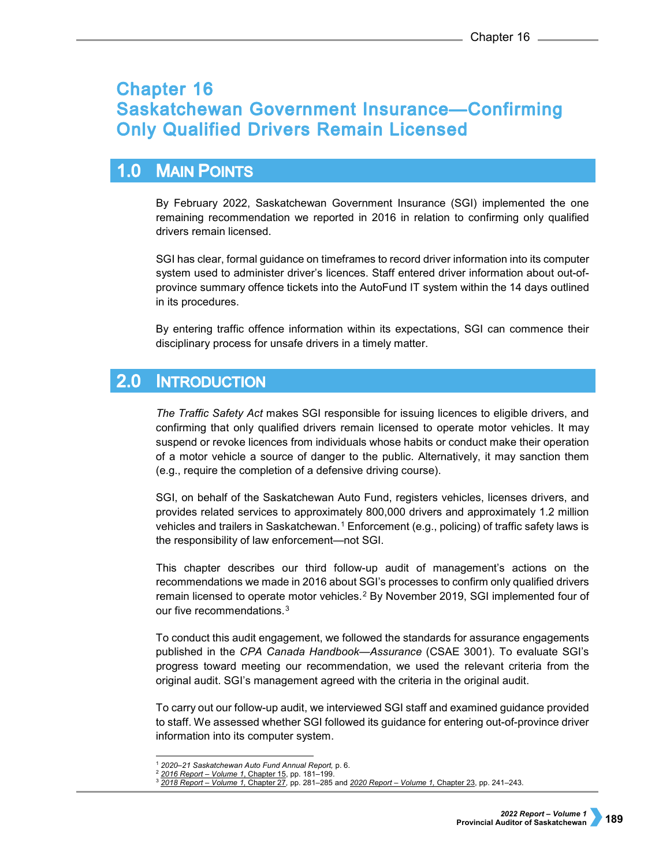# **Chapter 16 Saskatchewan Government Insurance-Confirming Only Qualified Drivers Remain Licensed**

## $1.0$ **MAIN POINTS**

By February 2022, Saskatchewan Government Insurance (SGI) implemented the one remaining recommendation we reported in 2016 in relation to confirming only qualified drivers remain licensed.

SGI has clear, formal guidance on timeframes to record driver information into its computer system used to administer driver's licences. Staff entered driver information about out-ofprovince summary offence tickets into the AutoFund IT system within the 14 days outlined in its procedures.

By entering traffic offence information within its expectations, SGI can commence their disciplinary process for unsafe drivers in a timely matter.

#### $2.0$ **INTRODUCTION**

*The Traffic Safety Act* makes SGI responsible for issuing licences to eligible drivers, and confirming that only qualified drivers remain licensed to operate motor vehicles. It may suspend or revoke licences from individuals whose habits or conduct make their operation of a motor vehicle a source of danger to the public. Alternatively, it may sanction them (e.g., require the completion of a defensive driving course).

SGI, on behalf of the Saskatchewan Auto Fund, registers vehicles, licenses drivers, and provides related services to approximately 800,000 drivers and approximately 1.2 million vehicles and trailers in Saskatchewan.<sup>[1](#page-0-0)</sup> Enforcement (e.g., policing) of traffic safety laws is the responsibility of law enforcement—not SGI.

This chapter describes our third follow-up audit of management's actions on the recommendations we made in 2016 about SGI's processes to confirm only qualified drivers remain licensed to operate motor vehicles.<sup>[2](#page-0-1)</sup> By November 2019, SGI implemented four of our five recommendations.<sup>[3](#page-0-2)</sup>

To conduct this audit engagement, we followed the standards for assurance engagements published in the *CPA Canada Handbook—Assurance* (CSAE 3001). To evaluate SGI's progress toward meeting our recommendation, we used the relevant criteria from the original audit. SGI's management agreed with the criteria in the original audit.

To carry out our follow-up audit, we interviewed SGI staff and examined guidance provided to staff. We assessed whether SGI followed its guidance for entering out-of-province driver information into its computer system.

 <sup>1</sup> *2020–21 Saskatchewan Auto Fund Annual Report,* p. 6.

<span id="page-0-2"></span><span id="page-0-1"></span><span id="page-0-0"></span><sup>2</sup> *[2016 Report –](https://auditor.sk.ca/pub/publications/public_reports/2016/Volume_1/15_SGI_Qualified%20Drivers.pdf) Volume 1*, Chapter 15, pp. 181–199.

<sup>3</sup> *[2018 Report –](https://auditor.sk.ca/pub/publications/public_reports/2018/27_Saskatchewan%20Government%20Insurance%E2%80%94Confirming%20Only%20Qualified%20Drivers%20Remain%20Licensed.pdf) Volume 1,* Chapter 27*,* pp. 281–285 and *[2020 Report –](https://auditor.sk.ca/pub/publications/public_reports/2020/Volume_1/CH%2023%20-%20Saskatchewan%20Government%20Insurance%E2%80%94Confirming%20Only%20Qualified%20Drivers%20Remain%20Licensed.pdf) Volume 1,* Chapter 23, pp. 241–243.